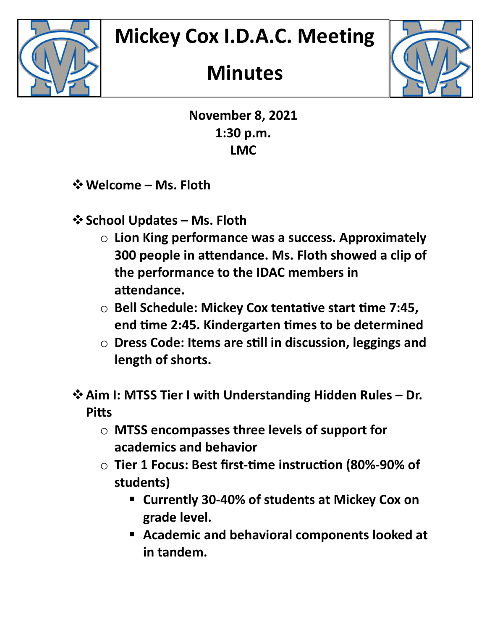

## **Minutes**



November 8, 2021 1:30 p.m. LMC

**☆ Welcome – Ms. Floth** 

- ❖ School Updates Ms. Floth
	- $\circ$  Lion King performance was a success. Approximately 300 people in attendance. Ms. Floth showed a clip of the performance to the IDAC members in attendance.
	- $\circ$  Bell Schedule: Mickey Cox tentative start time 7:45, end time 2:45. Kindergarten times to be determined
	- $\circ$  Dress Code: Items are still in discussion, leggings and length of shorts.
- Aim I: MTSS Tier I with Understanding Hidden Rules Dr. **Pitts** 
	- o MTSS encompasses three levels of support for academics and behavior
	- Tier 1 Focus: Best first-time instruction (80%-90% of students)
		- Currently 30-40% of students at Mickey Cox on grade level.
		- Academic and behavioral components looked at in tandem.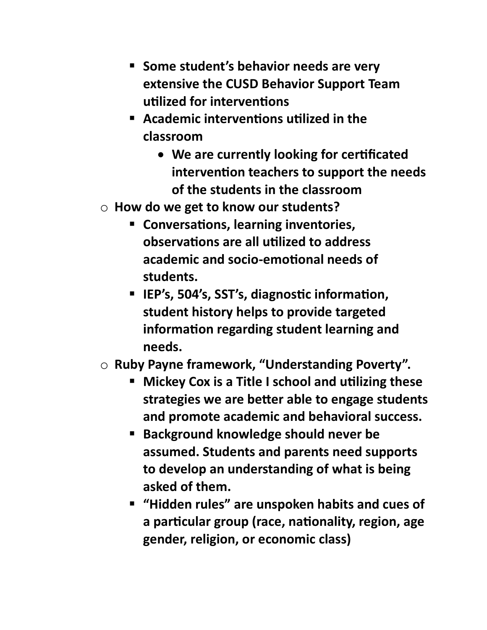- **Some student's behavior needs are very** extensive the CUSD Behavior Support Team utilized for interventions
- **EXT** Academic interventions utilized in the classroom
	- We are currently looking for certificated intervention teachers to support the needs of the students in the classroom
- $\circ$  How do we get to know our students?
	- **EX Conversations, learning inventories,** observations are all utilized to address academic and socio-emotional needs of students.
	- IEP's, 504's, SST's, diagnostic information, student history helps to provide targeted information regarding student learning and needs.
- o Ruby Payne framework, "Understanding Poverty".
	- **Nickey Cox is a Title I school and utilizing these** strategies we are better able to engage students and promote academic and behavioral success.
	- **Background knowledge should never be** assumed. Students and parents need supports to develop an understanding of what is being asked of them.
	- "Hidden rules" are unspoken habits and cues of a particular group (race, nationality, region, age gender, religion, or economic class)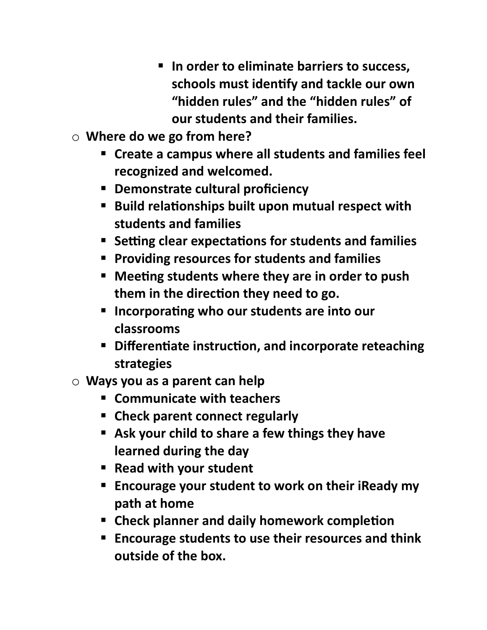- **IF In order to eliminate barriers to success,** schools must identify and tackle our own "hidden rules" and the "hidden rules" of our students and their families.
- o Where do we go from here?
	- Create a campus where all students and families feel recognized and welcomed.
	- **Demonstrate cultural proficiency**
	- Build relationships built upon mutual respect with students and families
	- **Setting clear expectations for students and families**
	- **Providing resources for students and families**
	- **E** Meeting students where they are in order to push them in the direction they need to go.
	- **Incorporating who our students are into our** classrooms
	- Differentiate instruction, and incorporate reteaching strategies
- $\circ$  Ways you as a parent can help
	- **EXECOMMUNICATE With teachers**
	- Check parent connect regularly
	- Ask your child to share a few things they have learned during the day
	- Read with your student
	- **Encourage your student to work on their iReady my** path at home
	- **EXP** Check planner and daily homework completion
	- **Encourage students to use their resources and think** outside of the box.